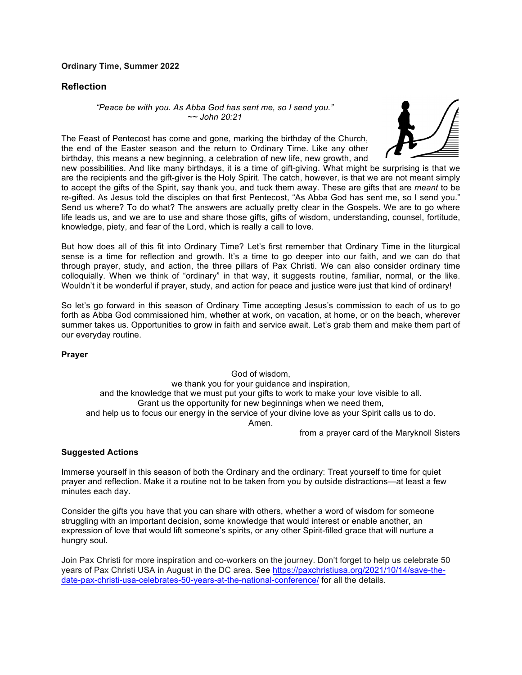## **Ordinary Time, Summer 2022**

## **Reflection**

*"Peace be with you. As Abba God has sent me, so I send you." ~~ John 20:21*





new possibilities. And like many birthdays, it is a time of gift-giving. What might be surprising is that we are the recipients and the gift-giver is the Holy Spirit. The catch, however, is that we are not meant simply to accept the gifts of the Spirit, say thank you, and tuck them away. These are gifts that are *meant* to be re-gifted. As Jesus told the disciples on that first Pentecost, "As Abba God has sent me, so I send you." Send us where? To do what? The answers are actually pretty clear in the Gospels. We are to go where life leads us, and we are to use and share those gifts, gifts of wisdom, understanding, counsel, fortitude, knowledge, piety, and fear of the Lord, which is really a call to love.

But how does all of this fit into Ordinary Time? Let's first remember that Ordinary Time in the liturgical sense is a time for reflection and growth. It's a time to go deeper into our faith, and we can do that through prayer, study, and action, the three pillars of Pax Christi. We can also consider ordinary time colloquially. When we think of "ordinary" in that way, it suggests routine, familiar, normal, or the like. Wouldn't it be wonderful if prayer, study, and action for peace and justice were just that kind of ordinary!

So let's go forward in this season of Ordinary Time accepting Jesus's commission to each of us to go forth as Abba God commissioned him, whether at work, on vacation, at home, or on the beach, wherever summer takes us. Opportunities to grow in faith and service await. Let's grab them and make them part of our everyday routine.

## **Prayer**

God of wisdom, we thank you for your guidance and inspiration, and the knowledge that we must put your gifts to work to make your love visible to all. Grant us the opportunity for new beginnings when we need them, and help us to focus our energy in the service of your divine love as your Spirit calls us to do. Amen.

from a prayer card of the Maryknoll Sisters

## **Suggested Actions**

Immerse yourself in this season of both the Ordinary and the ordinary: Treat yourself to time for quiet prayer and reflection. Make it a routine not to be taken from you by outside distractions—at least a few minutes each day.

Consider the gifts you have that you can share with others, whether a word of wisdom for someone struggling with an important decision, some knowledge that would interest or enable another, an expression of love that would lift someone's spirits, or any other Spirit-filled grace that will nurture a hungry soul.

Join Pax Christi for more inspiration and co-workers on the journey. Don't forget to help us celebrate 50 years of Pax Christi USA in August in the DC area. See https://paxchristiusa.org/2021/10/14/save-thedate-pax-christi-usa-celebrates-50-years-at-the-national-conference/ for all the details.